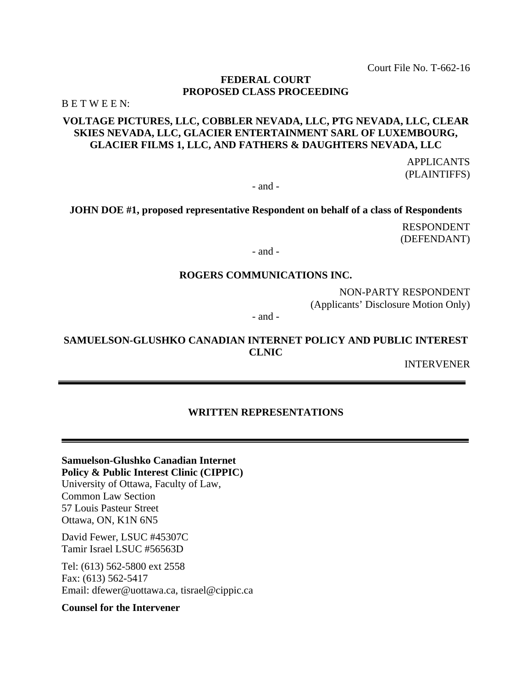Court File No. T-662-16

## **FEDERAL COURT PROPOSED CLASS PROCEEDING**

B E T W E E N:

# **VOLTAGE PICTURES, LLC, COBBLER NEVADA, LLC, PTG NEVADA, LLC, CLEAR SKIES NEVADA, LLC, GLACIER ENTERTAINMENT SARL OF LUXEMBOURG, GLACIER FILMS 1, LLC, AND FATHERS & DAUGHTERS NEVADA, LLC**

APPLICANTS (PLAINTIFFS)

- and -

**JOHN DOE #1, proposed representative Respondent on behalf of a class of Respondents**

RESPONDENT (DEFENDANT)

- and -

#### **ROGERS COMMUNICATIONS INC.**

NON-PARTY RESPONDENT (Applicants' Disclosure Motion Only)

- and -

## **SAMUELSON-GLUSHKO CANADIAN INTERNET POLICY AND PUBLIC INTEREST CLNIC**

INTERVENER

## **WRITTEN REPRESENTATIONS**

**Samuelson-Glushko Canadian Internet Policy & Public Interest Clinic (CIPPIC)**  University of Ottawa, Faculty of Law, Common Law Section 57 Louis Pasteur Street Ottawa, ON, K1N 6N5

David Fewer, LSUC #45307C Tamir Israel LSUC #56563D

Tel: (613) 562-5800 ext 2558 Fax: (613) 562-5417 Email: dfewer@uottawa.ca, tisrael@cippic.ca

**Counsel for the Intervener**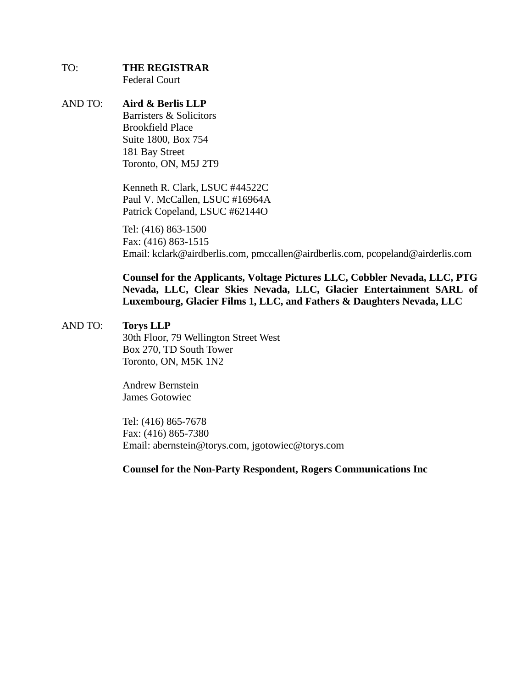# TO: **THE REGISTRAR**

Federal Court

AND TO: **Aird & Berlis LLP**  Barristers & Solicitors Brookfield Place Suite 1800, Box 754 181 Bay Street Toronto, ON, M5J 2T9

> Kenneth R. Clark, LSUC #44522C Paul V. McCallen, LSUC #16964A Patrick Copeland, LSUC #62144O

Tel: (416) 863-1500 Fax: (416) 863-1515 Email: kclark@airdberlis.com, pmccallen@airdberlis.com, pcopeland@airderlis.com

**Counsel for the Applicants, Voltage Pictures LLC, Cobbler Nevada, LLC, PTG Nevada, LLC, Clear Skies Nevada, LLC, Glacier Entertainment SARL of Luxembourg, Glacier Films 1, LLC, and Fathers & Daughters Nevada, LLC** 

# AND TO: **Torys LLP**

30th Floor, 79 Wellington Street West Box 270, TD South Tower Toronto, ON, M5K 1N2

Andrew Bernstein James Gotowiec

Tel: (416) 865-7678 Fax: (416) 865-7380 Email: abernstein@torys.com, jgotowiec@torys.com

# **Counsel for the Non-Party Respondent, Rogers Communications Inc**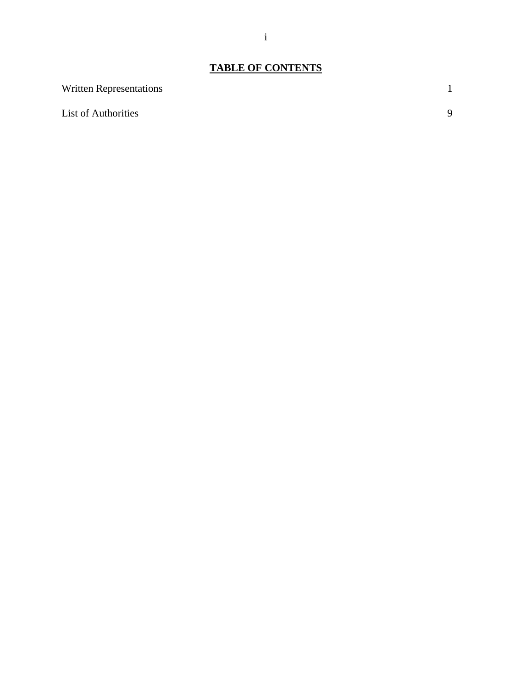# **TABLE OF CONTENTS**

| <b>Written Representations</b> |   |
|--------------------------------|---|
| <b>List of Authorities</b>     | Q |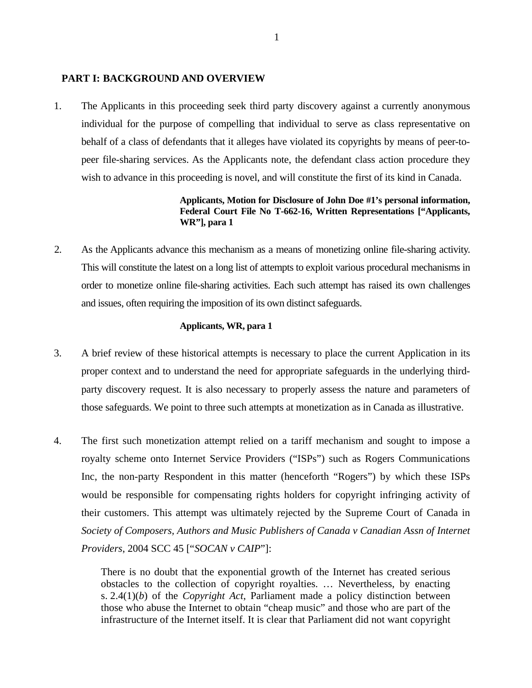#### **PART I: BACKGROUND AND OVERVIEW**

1. The Applicants in this proceeding seek third party discovery against a currently anonymous individual for the purpose of compelling that individual to serve as class representative on behalf of a class of defendants that it alleges have violated its copyrights by means of peer-topeer file-sharing services. As the Applicants note, the defendant class action procedure they wish to advance in this proceeding is novel, and will constitute the first of its kind in Canada.

## **Applicants, Motion for Disclosure of John Doe #1's personal information, Federal Court File No T-662-16, Written Representations ["Applicants, WR"], para 1**

2. As the Applicants advance this mechanism as a means of monetizing online file-sharing activity. This will constitute the latest on a long list of attempts to exploit various procedural mechanisms in order to monetize online file-sharing activities. Each such attempt has raised its own challenges and issues, often requiring the imposition of its own distinct safeguards.

#### **Applicants, WR, para 1**

- 3. A brief review of these historical attempts is necessary to place the current Application in its proper context and to understand the need for appropriate safeguards in the underlying thirdparty discovery request. It is also necessary to properly assess the nature and parameters of those safeguards. We point to three such attempts at monetization as in Canada as illustrative.
- 4. The first such monetization attempt relied on a tariff mechanism and sought to impose a royalty scheme onto Internet Service Providers ("ISPs") such as Rogers Communications Inc, the non-party Respondent in this matter (henceforth "Rogers") by which these ISPs would be responsible for compensating rights holders for copyright infringing activity of their customers. This attempt was ultimately rejected by the Supreme Court of Canada in *Society of Composers, Authors and Music Publishers of Canada v Canadian Assn of Internet Providers*, 2004 SCC 45 ["*SOCAN v CAIP*"]:

There is no doubt that the exponential growth of the Internet has created serious obstacles to the collection of copyright royalties. … Nevertheless, by enacting s. 2.4(1)(*b*) of the *Copyright Act*, Parliament made a policy distinction between those who abuse the Internet to obtain "cheap music" and those who are part of the infrastructure of the Internet itself. It is clear that Parliament did not want copyright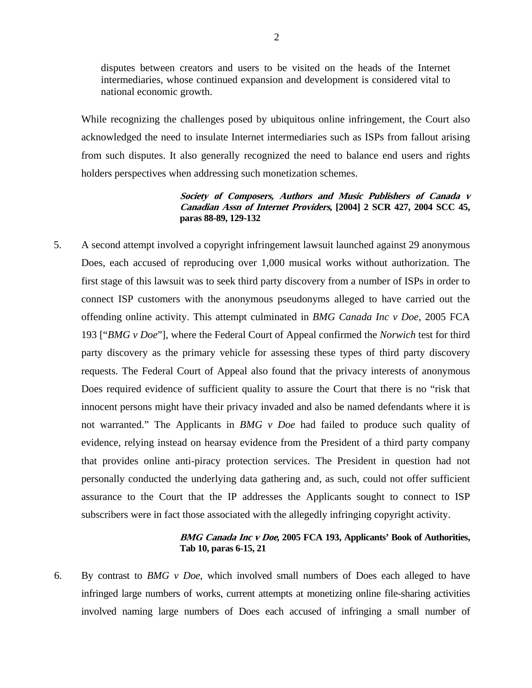disputes between creators and users to be visited on the heads of the Internet intermediaries, whose continued expansion and development is considered vital to national economic growth.

While recognizing the challenges posed by ubiquitous online infringement, the Court also acknowledged the need to insulate Internet intermediaries such as ISPs from fallout arising from such disputes. It also generally recognized the need to balance end users and rights holders perspectives when addressing such monetization schemes.

#### **Society of Composers, Authors and Music Publishers of Canada v Canadian Assn of Internet Providers, [2004] 2 SCR 427, 2004 SCC 45, paras 88-89, 129-132**

5. A second attempt involved a copyright infringement lawsuit launched against 29 anonymous Does, each accused of reproducing over 1,000 musical works without authorization. The first stage of this lawsuit was to seek third party discovery from a number of ISPs in order to connect ISP customers with the anonymous pseudonyms alleged to have carried out the offending online activity. This attempt culminated in *BMG Canada Inc v Doe*, 2005 FCA 193 ["*BMG v Doe*"], where the Federal Court of Appeal confirmed the *Norwich* test for third party discovery as the primary vehicle for assessing these types of third party discovery requests. The Federal Court of Appeal also found that the privacy interests of anonymous Does required evidence of sufficient quality to assure the Court that there is no "risk that innocent persons might have their privacy invaded and also be named defendants where it is not warranted." The Applicants in *BMG v Doe* had failed to produce such quality of evidence, relying instead on hearsay evidence from the President of a third party company that provides online anti-piracy protection services. The President in question had not personally conducted the underlying data gathering and, as such, could not offer sufficient assurance to the Court that the IP addresses the Applicants sought to connect to ISP subscribers were in fact those associated with the allegedly infringing copyright activity.

## **BMG Canada Inc v Doe, 2005 FCA 193, Applicants' Book of Authorities, Tab 10, paras 6-15, 21**

6. By contrast to *BMG v Doe*, which involved small numbers of Does each alleged to have infringed large numbers of works, current attempts at monetizing online file-sharing activities involved naming large numbers of Does each accused of infringing a small number of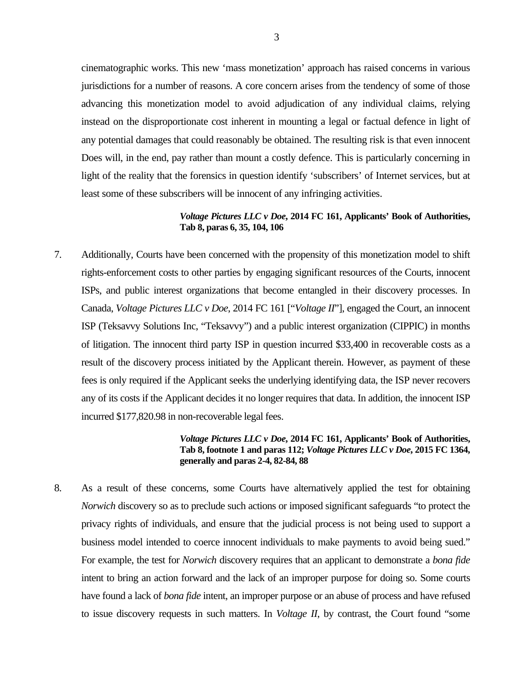cinematographic works. This new 'mass monetization' approach has raised concerns in various jurisdictions for a number of reasons. A core concern arises from the tendency of some of those advancing this monetization model to avoid adjudication of any individual claims, relying instead on the disproportionate cost inherent in mounting a legal or factual defence in light of any potential damages that could reasonably be obtained. The resulting risk is that even innocent Does will, in the end, pay rather than mount a costly defence. This is particularly concerning in light of the reality that the forensics in question identify 'subscribers' of Internet services, but at least some of these subscribers will be innocent of any infringing activities.

## *Voltage Pictures LLC v Doe***, 2014 FC 161, Applicants' Book of Authorities, Tab 8, paras 6, 35, 104, 106**

7. Additionally, Courts have been concerned with the propensity of this monetization model to shift rights-enforcement costs to other parties by engaging significant resources of the Courts, innocent ISPs, and public interest organizations that become entangled in their discovery processes. In Canada, *Voltage Pictures LLC v Doe*, 2014 FC 161 ["*Voltage II*"], engaged the Court, an innocent ISP (Teksavvy Solutions Inc, "Teksavvy") and a public interest organization (CIPPIC) in months of litigation. The innocent third party ISP in question incurred \$33,400 in recoverable costs as a result of the discovery process initiated by the Applicant therein. However, as payment of these fees is only required if the Applicant seeks the underlying identifying data, the ISP never recovers any of its costs if the Applicant decides it no longer requires that data. In addition, the innocent ISP incurred \$177,820.98 in non-recoverable legal fees.

#### *Voltage Pictures LLC v Doe***, 2014 FC 161, Applicants' Book of Authorities, Tab 8, footnote 1 and paras 112;** *Voltage Pictures LLC v Doe***, 2015 FC 1364, generally and paras 2-4, 82-84, 88**

8. As a result of these concerns, some Courts have alternatively applied the test for obtaining *Norwich* discovery so as to preclude such actions or imposed significant safeguards "to protect the privacy rights of individuals, and ensure that the judicial process is not being used to support a business model intended to coerce innocent individuals to make payments to avoid being sued." For example, the test for *Norwich* discovery requires that an applicant to demonstrate a *bona fide*  intent to bring an action forward and the lack of an improper purpose for doing so. Some courts have found a lack of *bona fide* intent, an improper purpose or an abuse of process and have refused to issue discovery requests in such matters. In *Voltage II*, by contrast, the Court found "some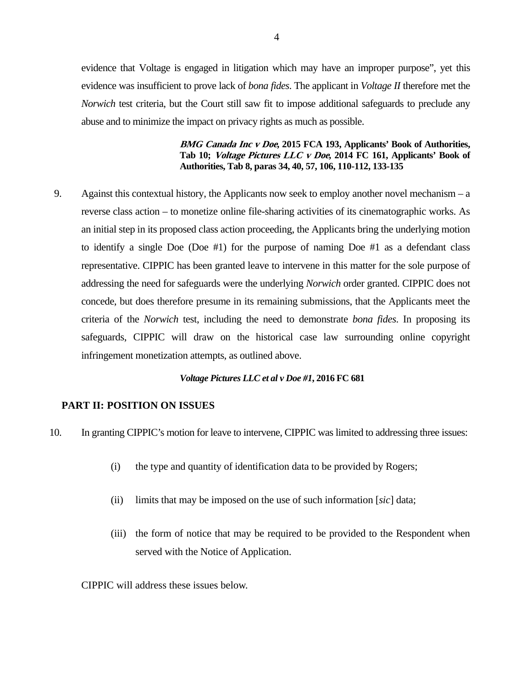evidence that Voltage is engaged in litigation which may have an improper purpose", yet this evidence was insufficient to prove lack of *bona fides*. The applicant in *Voltage II* therefore met the *Norwich* test criteria, but the Court still saw fit to impose additional safeguards to preclude any abuse and to minimize the impact on privacy rights as much as possible.

> **BMG Canada Inc v Doe, 2015 FCA 193, Applicants' Book of Authorities, Tab 10; Voltage Pictures LLC v Doe, 2014 FC 161, Applicants' Book of Authorities, Tab 8, paras 34, 40, 57, 106, 110-112, 133-135**

9. Against this contextual history, the Applicants now seek to employ another novel mechanism – a reverse class action – to monetize online file-sharing activities of its cinematographic works. As an initial step in its proposed class action proceeding, the Applicants bring the underlying motion to identify a single Doe (Doe #1) for the purpose of naming Doe #1 as a defendant class representative. CIPPIC has been granted leave to intervene in this matter for the sole purpose of addressing the need for safeguards were the underlying *Norwich* order granted. CIPPIC does not concede, but does therefore presume in its remaining submissions, that the Applicants meet the criteria of the *Norwich* test, including the need to demonstrate *bona fides*. In proposing its safeguards, CIPPIC will draw on the historical case law surrounding online copyright infringement monetization attempts, as outlined above.

#### *Voltage Pictures LLC et al v Doe #1***, 2016 FC 681**

#### **PART II: POSITION ON ISSUES**

- 10. In granting CIPPIC's motion for leave to intervene, CIPPIC was limited to addressing three issues:
	- (i) the type and quantity of identification data to be provided by Rogers;
	- (ii) limits that may be imposed on the use of such information [*sic*] data;
	- (iii) the form of notice that may be required to be provided to the Respondent when served with the Notice of Application.

CIPPIC will address these issues below.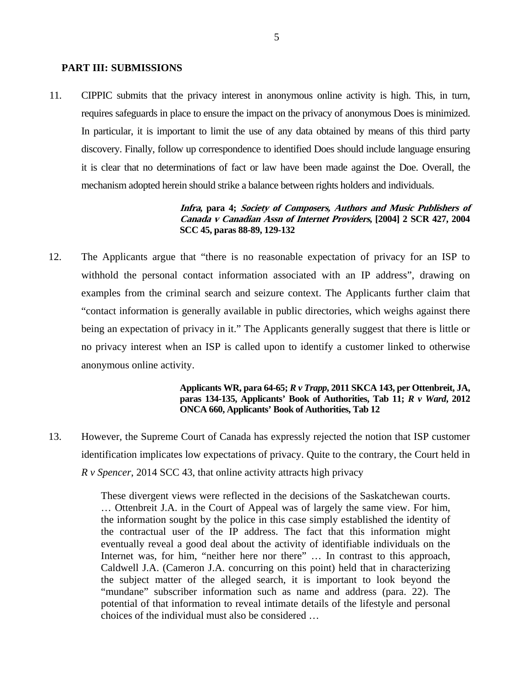#### **PART III: SUBMISSIONS**

11. CIPPIC submits that the privacy interest in anonymous online activity is high. This, in turn, requires safeguards in place to ensure the impact on the privacy of anonymous Does is minimized. In particular, it is important to limit the use of any data obtained by means of this third party discovery. Finally, follow up correspondence to identified Does should include language ensuring it is clear that no determinations of fact or law have been made against the Doe. Overall, the mechanism adopted herein should strike a balance between rights holders and individuals.

> **Infra, para 4; Society of Composers, Authors and Music Publishers of Canada v Canadian Assn of Internet Providers, [2004] 2 SCR 427, 2004 SCC 45, paras 88-89, 129-132**

12. The Applicants argue that "there is no reasonable expectation of privacy for an ISP to withhold the personal contact information associated with an IP address", drawing on examples from the criminal search and seizure context. The Applicants further claim that "contact information is generally available in public directories, which weighs against there being an expectation of privacy in it." The Applicants generally suggest that there is little or no privacy interest when an ISP is called upon to identify a customer linked to otherwise anonymous online activity.

> **Applicants WR, para 64-65;** *R v Trapp***, 2011 SKCA 143, per Ottenbreit, JA, paras 134-135, Applicants' Book of Authorities, Tab 11;** *R v Ward***, 2012 ONCA 660, Applicants' Book of Authorities, Tab 12**

13. However, the Supreme Court of Canada has expressly rejected the notion that ISP customer identification implicates low expectations of privacy. Quite to the contrary, the Court held in *R v Spencer*, 2014 SCC 43, that online activity attracts high privacy

> These divergent views were reflected in the decisions of the Saskatchewan courts. … Ottenbreit J.A. in the Court of Appeal was of largely the same view. For him, the information sought by the police in this case simply established the identity of the contractual user of the IP address. The fact that this information might eventually reveal a good deal about the activity of identifiable individuals on the Internet was, for him, "neither here nor there" ... In contrast to this approach, Caldwell J.A. (Cameron J.A. concurring on this point) held that in characterizing the subject matter of the alleged search, it is important to look beyond the "mundane" subscriber information such as name and address (para. 22). The potential of that information to reveal intimate details of the lifestyle and personal choices of the individual must also be considered …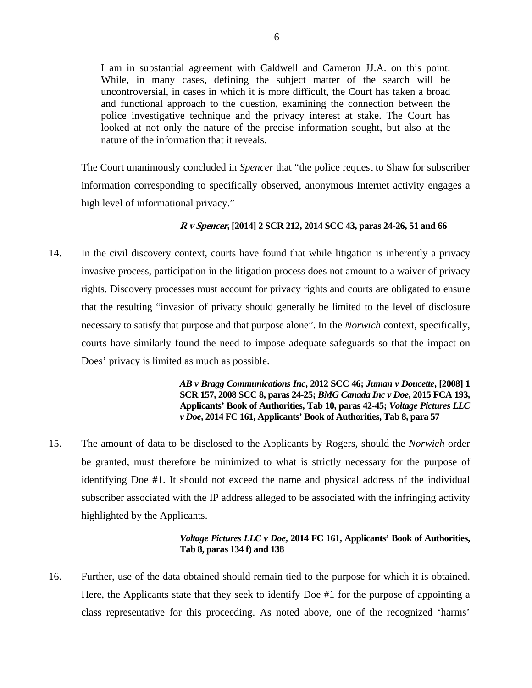I am in substantial agreement with Caldwell and Cameron JJ.A. on this point. While, in many cases, defining the subject matter of the search will be uncontroversial, in cases in which it is more difficult, the Court has taken a broad and functional approach to the question, examining the connection between the police investigative technique and the privacy interest at stake. The Court has looked at not only the nature of the precise information sought, but also at the nature of the information that it reveals.

The Court unanimously concluded in *Spencer* that "the police request to Shaw for subscriber information corresponding to specifically observed, anonymous Internet activity engages a high level of informational privacy."

## **R v Spencer, [2014] 2 SCR 212, 2014 SCC 43, paras 24-26, 51 and 66**

14. In the civil discovery context, courts have found that while litigation is inherently a privacy invasive process, participation in the litigation process does not amount to a waiver of privacy rights. Discovery processes must account for privacy rights and courts are obligated to ensure that the resulting "invasion of privacy should generally be limited to the level of disclosure necessary to satisfy that purpose and that purpose alone". In the *Norwich* context, specifically, courts have similarly found the need to impose adequate safeguards so that the impact on Does' privacy is limited as much as possible.

> *AB v Bragg Communications Inc***, 2012 SCC 46;** *Juman v Doucette***, [2008] 1 SCR 157, 2008 SCC 8, paras 24-25;** *BMG Canada Inc v Doe***, 2015 FCA 193, Applicants' Book of Authorities, Tab 10, paras 42-45;** *Voltage Pictures LLC v Doe***, 2014 FC 161, Applicants' Book of Authorities, Tab 8, para 57**

15. The amount of data to be disclosed to the Applicants by Rogers, should the *Norwich* order be granted, must therefore be minimized to what is strictly necessary for the purpose of identifying Doe #1. It should not exceed the name and physical address of the individual subscriber associated with the IP address alleged to be associated with the infringing activity highlighted by the Applicants.

## *Voltage Pictures LLC v Doe***, 2014 FC 161, Applicants' Book of Authorities, Tab 8, paras 134 f) and 138**

16. Further, use of the data obtained should remain tied to the purpose for which it is obtained. Here, the Applicants state that they seek to identify Doe #1 for the purpose of appointing a class representative for this proceeding. As noted above, one of the recognized 'harms'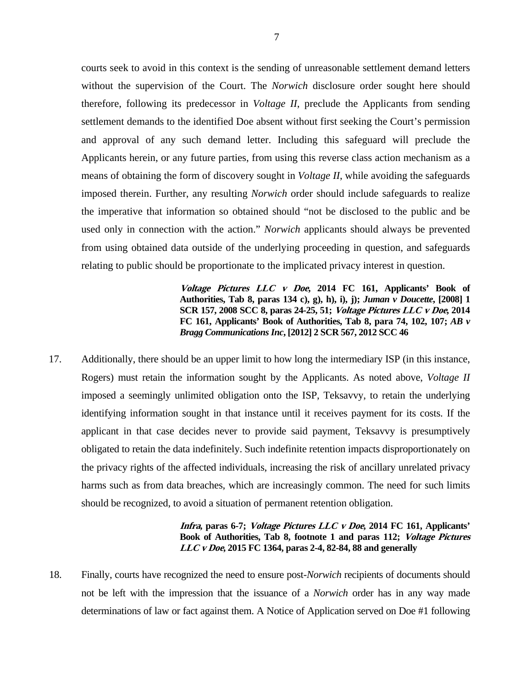courts seek to avoid in this context is the sending of unreasonable settlement demand letters without the supervision of the Court. The *Norwich* disclosure order sought here should therefore, following its predecessor in *Voltage II*, preclude the Applicants from sending settlement demands to the identified Doe absent without first seeking the Court's permission and approval of any such demand letter. Including this safeguard will preclude the Applicants herein, or any future parties, from using this reverse class action mechanism as a means of obtaining the form of discovery sought in *Voltage II*, while avoiding the safeguards imposed therein. Further, any resulting *Norwich* order should include safeguards to realize the imperative that information so obtained should "not be disclosed to the public and be used only in connection with the action." *Norwich* applicants should always be prevented from using obtained data outside of the underlying proceeding in question, and safeguards relating to public should be proportionate to the implicated privacy interest in question.

> **Voltage Pictures LLC v Doe, 2014 FC 161, Applicants' Book of Authorities, Tab 8, paras 134 c), g), h), i), j);** *Juman v Doucette***, [2008] 1 SCR 157, 2008 SCC 8, paras 24-25, 51; Voltage Pictures LLC v Doe, 2014 FC 161, Applicants' Book of Authorities, Tab 8, para 74, 102, 107;** *AB v Bragg Communications Inc***, [2012] 2 SCR 567, 2012 SCC 46**

17. Additionally, there should be an upper limit to how long the intermediary ISP (in this instance, Rogers) must retain the information sought by the Applicants. As noted above, *Voltage II* imposed a seemingly unlimited obligation onto the ISP, Teksavvy, to retain the underlying identifying information sought in that instance until it receives payment for its costs. If the applicant in that case decides never to provide said payment, Teksavvy is presumptively obligated to retain the data indefinitely. Such indefinite retention impacts disproportionately on the privacy rights of the affected individuals, increasing the risk of ancillary unrelated privacy harms such as from data breaches, which are increasingly common. The need for such limits should be recognized, to avoid a situation of permanent retention obligation.

## **Infra, paras 6-7; Voltage Pictures LLC v Doe, 2014 FC 161, Applicants' Book of Authorities, Tab 8, footnote 1 and paras 112; Voltage Pictures LLC v Doe, 2015 FC 1364, paras 2-4, 82-84, 88 and generally**

18. Finally, courts have recognized the need to ensure post-*Norwich* recipients of documents should not be left with the impression that the issuance of a *Norwich* order has in any way made determinations of law or fact against them. A Notice of Application served on Doe #1 following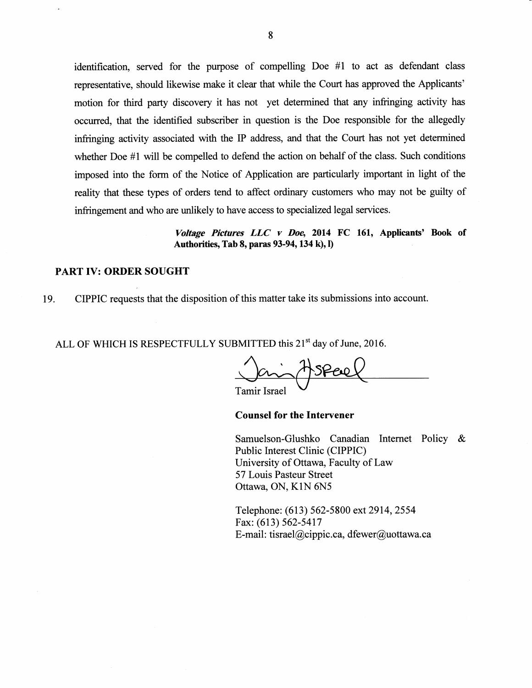identification, served for the purpose of compelling Doe #1 to act as defendant class representative, should likewise make it clear that while the Court has approved the Applicants' motion for third party discovery it has not yet determined that any infringing activity has occurred, that the identified subscriber in question is the Doe responsible for the allegedly infringing activity associated with the IP address, and that the Court has not yet determined whether Doe #1 will be compelled to defend the action on behalf of the class. Such conditions imposed into the form of the Notice of Application are particularly important in light of the reality that these types of orders tend to affect ordinary customers who may not be guilty of infringement and who are unlikely to have access to specialized legal services.

> Voltage Pictures LLC v Doe, 2014 FC 161, Applicants' Book of Authorities, Tab 8, paras 93-94, 134 k), l)

#### **PART IV: ORDER SOUGHT**

CIPPIC requests that the disposition of this matter take its submissions into account. 19.

ALL OF WHICH IS RESPECTFULLY SUBMITTED this 21<sup>st</sup> day of June, 2016.

**Tamir Israel** 

#### **Counsel for the Intervener**

Samuelson-Glushko Canadian Internet Policy & Public Interest Clinic (CIPPIC) University of Ottawa, Faculty of Law 57 Louis Pasteur Street Ottawa, ON, K1N 6N5

Telephone: (613) 562-5800 ext 2914, 2554 Fax: (613) 562-5417 E-mail: tisrael@cippic.ca, dfewer@uottawa.ca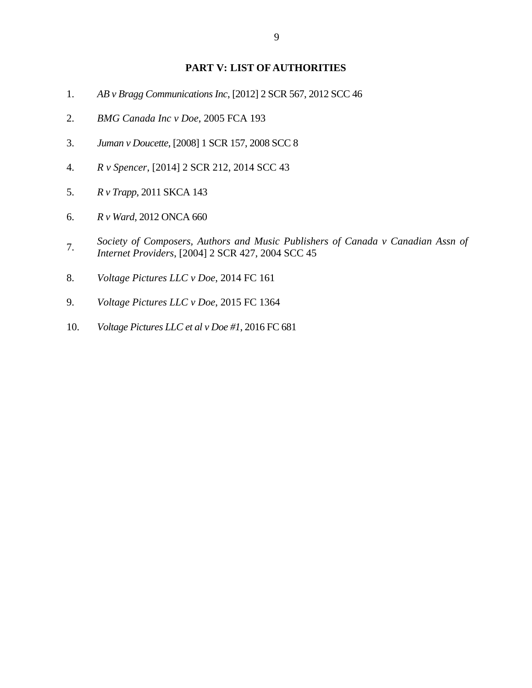#### **PART V: LIST OF AUTHORITIES**

- 1. *AB v Bragg Communications Inc*, [2012] 2 SCR 567, 2012 SCC 46
- 2. *BMG Canada Inc v Doe*, 2005 FCA 193
- 3. *Juman v Doucette*, [2008] 1 SCR 157, 2008 SCC 8
- 4. *R v Spencer*, [2014] 2 SCR 212, 2014 SCC 43
- 5. *R v Trapp*, 2011 SKCA 143
- 6. *R v Ward*, 2012 ONCA 660
- 7. *Society of Composers, Authors and Music Publishers of Canada v Canadian Assn of Internet Providers*, [2004] 2 SCR 427, 2004 SCC 45
- 8. *Voltage Pictures LLC v Doe*, 2014 FC 161
- 9. *Voltage Pictures LLC v Doe*, 2015 FC 1364
- 10. *Voltage Pictures LLC et al v Doe #1*, 2016 FC 681